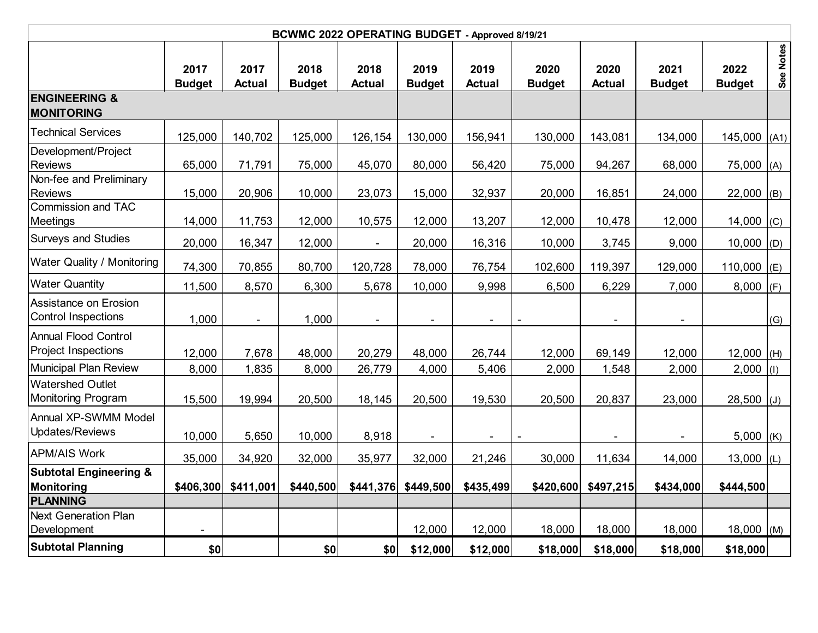| BCWMC 2022 OPERATING BUDGET - Approved 8/19/21      |                       |                          |                       |                          |                       |                       |                       |                          |                          |                       |           |
|-----------------------------------------------------|-----------------------|--------------------------|-----------------------|--------------------------|-----------------------|-----------------------|-----------------------|--------------------------|--------------------------|-----------------------|-----------|
|                                                     | 2017<br><b>Budget</b> | 2017<br><b>Actual</b>    | 2018<br><b>Budget</b> | 2018<br><b>Actual</b>    | 2019<br><b>Budget</b> | 2019<br><b>Actual</b> | 2020<br><b>Budget</b> | 2020<br><b>Actual</b>    | 2021<br><b>Budget</b>    | 2022<br><b>Budget</b> | See Notes |
| <b>ENGINEERING &amp;</b><br><b>MONITORING</b>       |                       |                          |                       |                          |                       |                       |                       |                          |                          |                       |           |
| <b>Technical Services</b>                           | 125,000               | 140,702                  | 125,000               | 126,154                  | 130,000               | 156,941               | 130,000               | 143,081                  | 134,000                  | $145,000$ $(A1)$      |           |
| Development/Project<br>Reviews                      | 65,000                | 71,791                   | 75,000                | 45,070                   | 80,000                | 56,420                | 75,000                | 94,267                   | 68,000                   | 75,000 (A)            |           |
| Non-fee and Preliminary<br><b>Reviews</b>           | 15,000                | 20,906                   | 10,000                | 23,073                   | 15,000                | 32,937                | 20,000                | 16,851                   | 24,000                   | $22,000$ (B)          |           |
| Commission and TAC<br>Meetings                      | 14,000                | 11,753                   | 12,000                | 10,575                   | 12,000                | 13,207                | 12,000                | 10,478                   | 12,000                   | $14,000$ (C)          |           |
| Surveys and Studies                                 | 20,000                | 16,347                   | 12,000                | $\overline{\phantom{a}}$ | 20,000                | 16,316                | 10,000                | 3,745                    | 9,000                    | 10,000 (D)            |           |
| <b>Water Quality / Monitoring</b>                   | 74,300                | 70,855                   | 80,700                | 120,728                  | 78,000                | 76,754                | 102,600               | 119,397                  | 129,000                  | 110,000 (E)           |           |
| <b>Water Quantity</b>                               | 11,500                | 8,570                    | 6,300                 | 5,678                    | 10,000                | 9,998                 | 6,500                 | 6,229                    | 7,000                    | $8,000$ (F)           |           |
| Assistance on Erosion<br><b>Control Inspections</b> | 1,000                 | $\overline{\phantom{a}}$ | 1,000                 | $\overline{\phantom{a}}$ | $\blacksquare$        | $\blacksquare$        |                       | $\overline{\phantom{a}}$ | $\blacksquare$           |                       | (G)       |
| <b>Annual Flood Control</b><br>Project Inspections  | 12,000                | 7,678                    | 48,000                | 20,279                   | 48,000                | 26,744                | 12,000                | 69,149                   | 12,000                   | $12,000$ (H)          |           |
| Municipal Plan Review                               | 8,000                 | 1,835                    | 8,000                 | 26,779                   | 4,000                 | 5,406                 | 2,000                 | 1,548                    | 2,000                    | $2,000$ (1)           |           |
| Watershed Outlet<br>Monitoring Program              | 15,500                | 19,994                   | 20,500                | 18,145                   | 20,500                | 19,530                | 20,500                | 20,837                   | 23,000                   | $28,500$ (J)          |           |
| Annual XP-SWMM Model<br>Updates/Reviews             | 10,000                | 5,650                    | 10,000                | 8,918                    |                       |                       |                       | $\overline{\phantom{a}}$ | $\overline{\phantom{a}}$ | 5,000 $(K)$           |           |
| <b>APM/AIS Work</b>                                 | 35,000                | 34,920                   | 32,000                | 35,977                   | 32,000                | 21,246                | 30,000                | 11,634                   | 14,000                   | 13,000 $(L)$          |           |
| <b>Subtotal Engineering &amp;</b><br>Monitoring     | \$406,300             | \$411,001                | \$440,500             | \$441,376                | \$449,500             | \$435,499             | \$420,600             | \$497,215                | \$434,000                | \$444,500             |           |
| PLANNING                                            |                       |                          |                       |                          |                       |                       |                       |                          |                          |                       |           |
| <b>Next Generation Plan</b><br>Development          |                       |                          |                       |                          | 12,000                | 12,000                | 18,000                | 18,000                   | 18,000                   | $18,000$ (M)          |           |
| <b>Subtotal Planning</b>                            | \$0                   |                          | \$0                   | \$0                      | \$12,000              | \$12,000              | \$18,000              | \$18,000                 | \$18,000                 | \$18,000              |           |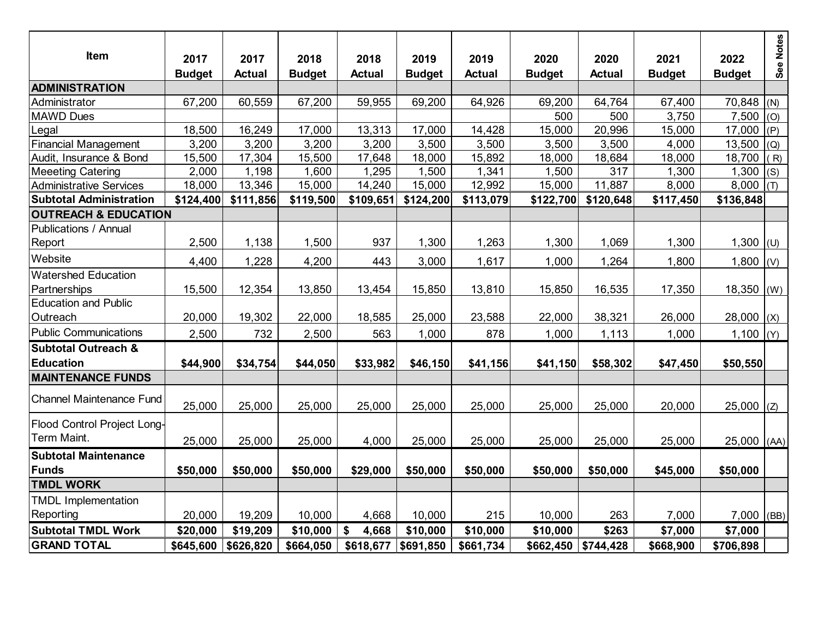| Item                                        | 2017<br><b>Budget</b> | 2017<br><b>Actual</b> | 2018<br><b>Budget</b> | 2018<br><b>Actual</b> | 2019<br><b>Budget</b> | 2019<br><b>Actual</b> | 2020<br><b>Budget</b> | 2020<br><b>Actual</b> | 2021<br><b>Budget</b> | 2022<br><b>Budget</b> | See Notes |
|---------------------------------------------|-----------------------|-----------------------|-----------------------|-----------------------|-----------------------|-----------------------|-----------------------|-----------------------|-----------------------|-----------------------|-----------|
| <b>ADMINISTRATION</b>                       |                       |                       |                       |                       |                       |                       |                       |                       |                       |                       |           |
| Administrator                               | 67,200                | 60,559                | 67,200                | 59,955                | 69,200                | 64,926                | 69,200                | 64,764                | 67,400                | 70,848                | (N)       |
| <b>MAWD Dues</b>                            |                       |                       |                       |                       |                       |                       | 500                   | 500                   | 3,750                 | 7,500                 | (O)       |
| Legal                                       | 18,500                | 16,249                | 17,000                | 13,313                | 17,000                | 14,428                | 15,000                | 20,996                | 15,000                | 17,000                | (P)       |
| <b>Financial Management</b>                 | 3,200                 | 3,200                 | 3,200                 | 3,200                 | 3,500                 | 3,500                 | 3,500                 | 3,500                 | 4,000                 | 13,500                | (Q)       |
| Audit, Insurance & Bond                     | 15,500                | 17,304                | 15,500                | 17,648                | 18,000                | 15,892                | 18,000                | 18,684                | 18,000                | 18,700                | (R)       |
| <b>Meeeting Catering</b>                    | 2,000                 | 1,198                 | 1,600                 | 1,295                 | 1,500                 | 1,341                 | 1,500                 | 317                   | 1,300                 | 1,300                 | (S)       |
| <b>Administrative Services</b>              | 18,000                | 13,346                | 15,000                | 14,240                | 15,000                | 12,992                | 15,000                | 11,887                | 8,000                 | 8,000                 | (T)       |
| <b>Subtotal Administration</b>              | \$124,400             | \$111,856             | \$119,500             | \$109,651             | \$124,200             | \$113,079             | \$122,700             | \$120,648             | \$117,450             | \$136,848             |           |
| <b>OUTREACH &amp; EDUCATION</b>             |                       |                       |                       |                       |                       |                       |                       |                       |                       |                       |           |
| <b>Publications / Annual</b>                |                       |                       |                       |                       |                       |                       |                       |                       |                       |                       |           |
| Report                                      | 2,500                 | 1,138                 | 1,500                 | 937                   | 1,300                 | 1,263                 | 1,300                 | 1,069                 | 1,300                 | 1,300 $ U $           |           |
| Website                                     | 4,400                 | 1,228                 | 4,200                 | 443                   | 3,000                 | 1,617                 | 1,000                 | 1,264                 | 1,800                 | 1,800                 | (V)       |
| <b>Watershed Education</b>                  |                       |                       |                       |                       |                       |                       |                       |                       |                       |                       |           |
| Partnerships                                | 15,500                | 12,354                | 13,850                | 13,454                | 15,850                | 13,810                | 15,850                | 16,535                | 17,350                | 18,350                | (W)       |
| <b>Education and Public</b>                 |                       |                       |                       |                       |                       |                       |                       |                       |                       |                       |           |
| Outreach                                    | 20,000                | 19,302                | 22,000                | 18,585                | 25,000                | 23,588                | 22,000                | 38,321                | 26,000                | $28,000$ (X)          |           |
| <b>Public Communications</b>                | 2,500                 | 732                   | 2,500                 | 563                   | 1,000                 | 878                   | 1,000                 | 1,113                 | 1,000                 | 1,100 $ (Y)$          |           |
| <b>Subtotal Outreach &amp;</b>              |                       |                       |                       |                       |                       |                       |                       |                       |                       |                       |           |
| <b>Education</b>                            | \$44,900              | \$34,754              | \$44,050              | \$33,982              | \$46,150              | \$41,156              | \$41,150              | \$58,302              | \$47,450              | \$50,550              |           |
| <b>MAINTENANCE FUNDS</b>                    |                       |                       |                       |                       |                       |                       |                       |                       |                       |                       |           |
| <b>Channel Maintenance Fund</b>             | 25,000                | 25,000                | 25,000                | 25,000                | 25,000                | 25,000                | 25,000                | 25,000                | 20,000                | $25,000$ (Z)          |           |
| Flood Control Project Long-<br>Term Maint.  | 25,000                | 25,000                | 25,000                | 4,000                 | 25,000                | 25,000                | 25,000                | 25,000                | 25,000                | $25,000$ (AA)         |           |
| <b>Subtotal Maintenance</b><br><b>Funds</b> | \$50,000              | \$50,000              | \$50,000              | \$29,000              | \$50,000              | \$50,000              | \$50,000              | \$50,000              | \$45,000              | \$50,000              |           |
| <b>TMDL WORK</b>                            |                       |                       |                       |                       |                       |                       |                       |                       |                       |                       |           |
| <b>TMDL Implementation</b>                  |                       |                       |                       |                       |                       |                       |                       |                       |                       |                       |           |
| Reporting                                   | 20,000                | 19,209                | 10,000                | 4,668                 | 10,000                | 215                   | 10,000                | 263                   | 7,000                 | 7,000                 | (BB)      |
| <b>Subtotal TMDL Work</b>                   | \$20,000              | \$19,209              | \$10,000              | \$<br>4,668           | \$10,000              | \$10,000              | \$10,000              | \$263                 | \$7,000               | \$7,000               |           |
| <b>GRAND TOTAL</b>                          |                       |                       |                       |                       |                       |                       |                       |                       |                       |                       |           |
|                                             | \$645,600             | \$626,820             | \$664,050             | \$618,677             | \$691,850             | \$661,734             | \$662,450             | \$744,428             | \$668,900             | \$706,898             |           |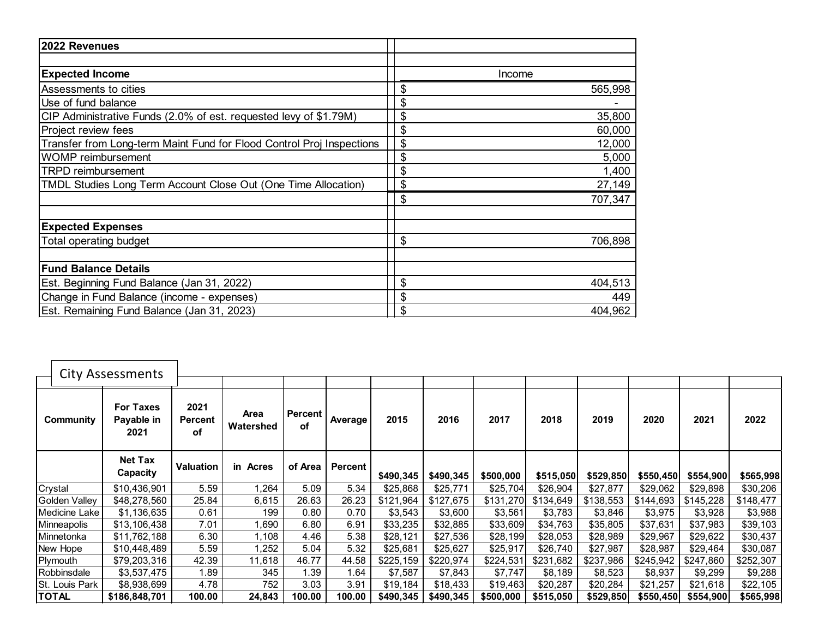| 2022 Revenues                                                         |               |
|-----------------------------------------------------------------------|---------------|
|                                                                       |               |
| <b>Expected Income</b>                                                | Income        |
| Assessments to cities                                                 | \$<br>565,998 |
| Use of fund balance                                                   | \$            |
| CIP Administrative Funds (2.0% of est. requested levy of \$1.79M)     | \$<br>35,800  |
| Project review fees                                                   | \$<br>60,000  |
| Transfer from Long-term Maint Fund for Flood Control Proj Inspections | \$<br>12,000  |
| <b>WOMP</b> reimbursement                                             | \$<br>5,000   |
| <b>TRPD reimbursement</b>                                             | \$<br>1,400   |
| TMDL Studies Long Term Account Close Out (One Time Allocation)        | \$<br>27,149  |
|                                                                       | \$<br>707,347 |
|                                                                       |               |
| <b>Expected Expenses</b>                                              |               |
| Total operating budget                                                | \$<br>706,898 |
|                                                                       |               |
| <b>Fund Balance Details</b>                                           |               |
| Est. Beginning Fund Balance (Jan 31, 2022)                            | \$<br>404,513 |
| Change in Fund Balance (income - expenses)                            | \$<br>449     |
| Est. Remaining Fund Balance (Jan 31, 2023)                            | 404,962       |

|                | <b>City Assessments</b>                |                              |                   |                        |                |           |           |           |           |           |           |           |           |
|----------------|----------------------------------------|------------------------------|-------------------|------------------------|----------------|-----------|-----------|-----------|-----------|-----------|-----------|-----------|-----------|
|                |                                        |                              |                   |                        |                |           |           |           |           |           |           |           |           |
| Community      | <b>For Taxes</b><br>Payable in<br>2021 | 2021<br><b>Percent</b><br>оf | Area<br>Watershed | Percent  <br><b>of</b> | Average        | 2015      | 2016      | 2017      | 2018      | 2019      | 2020      | 2021      | 2022      |
|                | <b>Net Tax</b><br>Capacity             | <b>Valuation</b>             | in Acres          | of Area                | <b>Percent</b> | \$490,345 | \$490,345 | \$500,000 | \$515,050 | \$529,850 | \$550,450 | \$554,900 | \$565,998 |
| Crystal        | \$10,436,901                           | 5.59                         | 1,264             | 5.09                   | 5.34           | \$25,868  | \$25,771  | \$25,704  | \$26,904  | \$27,877  | \$29,062  | \$29,898  | \$30,206  |
| Golden Valley  | \$48,278,560                           | 25.84                        | 6,615             | 26.63                  | 26.23          | \$121,964 | \$127,675 | \$131,270 | \$134,649 | \$138,553 | \$144,693 | \$145,228 | \$148,477 |
| Medicine Lake  | \$1,136,635                            | 0.61                         | 199               | 0.80                   | 0.70           | \$3,543   | \$3,600   | \$3,561   | \$3,783   | \$3,846   | \$3,975   | \$3,928   | \$3,988   |
| Minneapolis    | \$13,106,438                           | 7.01                         | 1,690             | 6.80                   | 6.91           | \$33,235  | \$32,885  | \$33,609  | \$34,763  | \$35,805  | \$37,631  | \$37,983  | \$39,103  |
| Minnetonka     | \$11,762,188                           | 6.30                         | 1,108             | 4.46                   | 5.38           | \$28,121  | \$27,536  | \$28,199  | \$28,053  | \$28,989  | \$29,967  | \$29,622  | \$30,437  |
| New Hope       | \$10,448,489                           | 5.59                         | 1,252             | 5.04                   | 5.32           | \$25,681  | \$25,627  | \$25,917  | \$26,740  | \$27,987  | \$28,987  | \$29,464  | \$30,087  |
| Plymouth       | \$79,203,316                           | 42.39                        | 11,618            | 46.77                  | 44.58          | \$225,159 | \$220,974 | \$224,531 | \$231,682 | \$237,986 | \$245,942 | \$247,860 | \$252,307 |
| Robbinsdale    | \$3,537,475                            | .89                          | 345               | 1.39                   | 1.64           | \$7,587   | \$7,843   | \$7,747   | \$8,189   | \$8,523   | \$8,937   | \$9,299   | \$9,288   |
| St. Louis Park | \$8,938,699                            | 4.78                         | 752               | 3.03                   | 3.91           | \$19,184  | \$18,433  | \$19,463  | \$20,287  | \$20,284  | \$21,257  | \$21,618  | \$22,105  |
| <b>TOTAL</b>   | \$186,848,701                          | 100.00                       | 24,843            | 100.00                 | 100.00         | \$490,345 | \$490,345 | \$500,000 | \$515,050 | \$529,850 | \$550,450 | \$554,900 | \$565,998 |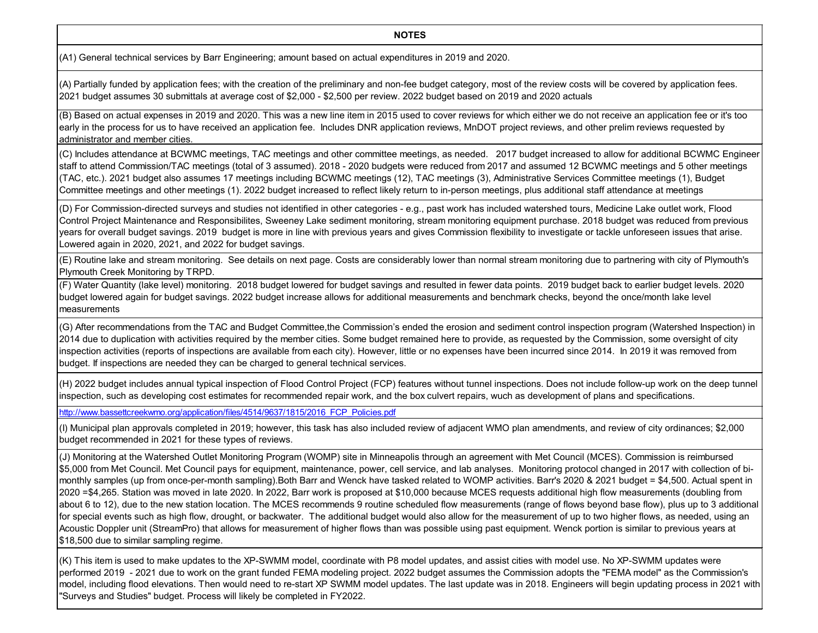## **NOTES**

(A1) General technical services by Barr Engineering; amount based on actual expenditures in 2019 and 2020.

(A) Partially funded by application fees; with the creation of the preliminary and non-fee budget category, most of the review costs will be covered by application fees. 2021 budget assumes 30 submittals at average cost of \$2,000 - \$2,500 per review. 2022 budget based on 2019 and 2020 actuals

(B) Based on actual expenses in 2019 and 2020. This was a new line item in 2015 used to cover reviews for which either we do not receive an application fee or it's too early in the process for us to have received an application fee. Includes DNR application reviews, MnDOT project reviews, and other prelim reviews requested by administrator and member cities.

(C) Includes attendance at BCWMC meetings, TAC meetings and other committee meetings, as needed. 2017 budget increased to allow for additional BCWMC Engineer staff to attend Commission/TAC meetings (total of 3 assumed). 2018 - 2020 budgets were reduced from 2017 and assumed 12 BCWMC meetings and 5 other meetings (TAC, etc.). 2021 budget also assumes 17 meetings including BCWMC meetings (12), TAC meetings (3), Administrative Services Committee meetings (1), Budget Committee meetings and other meetings (1). 2022 budget increased to reflect likely return to in-person meetings, plus additional staff attendance at meetings

(D) For Commission-directed surveys and studies not identified in other categories - e.g., past work has included watershed tours, Medicine Lake outlet work, Flood Control Project Maintenance and Responsibilites, Sweeney Lake sediment monitoring, stream monitoring equipment purchase. 2018 budget was reduced from previous years for overall budget savings. 2019 budget is more in line with previous years and gives Commission flexibility to investigate or tackle unforeseen issues that arise. Lowered again in 2020, 2021, and 2022 for budget savings.

(E) Routine lake and stream monitoring. See details on next page. Costs are considerably lower than normal stream monitoring due to partnering with city of Plymouth's Plymouth Creek Monitoring by TRPD.

(F) Water Quantity (lake level) monitoring. 2018 budget lowered for budget savings and resulted in fewer data points. 2019 budget back to earlier budget levels. 2020 budget lowered again for budget savings. 2022 budget increase allows for additional measurements and benchmark checks, beyond the once/month lake level measurements

(G) After recommendations from the TAC and Budget Committee,the Commission's ended the erosion and sediment control inspection program (Watershed Inspection) in 2014 due to duplication with activities required by the member cities. Some budget remained here to provide, as requested by the Commission, some oversight of city inspection activities (reports of inspections are available from each city). However, little or no expenses have been incurred since 2014. In 2019 it was removed from budget. If inspections are needed they can be charged to general technical services.

(H) 2022 budget includes annual typical inspection of Flood Control Project (FCP) features without tunnel inspections. Does not include follow-up work on the deep tunnel inspection, such as developing cost estimates for recommended repair work, and the box culvert repairs, wuch as development of plans and specifications.

http://www.bassettcreekwmo.org/application/files/4514/9637/1815/2016\_FCP\_Policies.pdf

(I) Municipal plan approvals completed in 2019; however, this task has also included review of adjacent WMO plan amendments, and review of city ordinances; \$2,000 budget recommended in 2021 for these types of reviews.

(J) Monitoring at the Watershed Outlet Monitoring Program (WOMP) site in Minneapolis through an agreement with Met Council (MCES). Commission is reimbursed \$5,000 from Met Council. Met Council pays for equipment, maintenance, power, cell service, and lab analyses. Monitoring protocol changed in 2017 with collection of bimonthly samples (up from once-per-month sampling).Both Barr and Wenck have tasked related to WOMP activities. Barr's 2020 & 2021 budget = \$4,500. Actual spent in 2020 =\$4,265. Station was moved in late 2020. In 2022, Barr work is proposed at \$10,000 because MCES requests additional high flow measurements (doubling from about 6 to 12), due to the new station location. The MCES recommends 9 routine scheduled flow measurements (range of flows beyond base flow), plus up to 3 additional for special events such as high flow, drought, or backwater. The additional budget would also allow for the measurement of up to two higher flows, as needed, using an Acoustic Doppler unit (StreamPro) that allows for measurement of higher flows than was possible using past equipment. Wenck portion is similar to previous years at \$18,500 due to similar sampling regime.

(K) This item is used to make updates to the XP-SWMM model, coordinate with P8 model updates, and assist cities with model use. No XP-SWMM updates were performed 2019 - 2021 due to work on the grant funded FEMA modeling project. 2022 budget assumes the Commission adopts the "FEMA model" as the Commission's model, including flood elevations. Then would need to re-start XP SWMM model updates. The last update was in 2018. Engineers will begin updating process in 2021 with "Surveys and Studies" budget. Process will likely be completed in FY2022.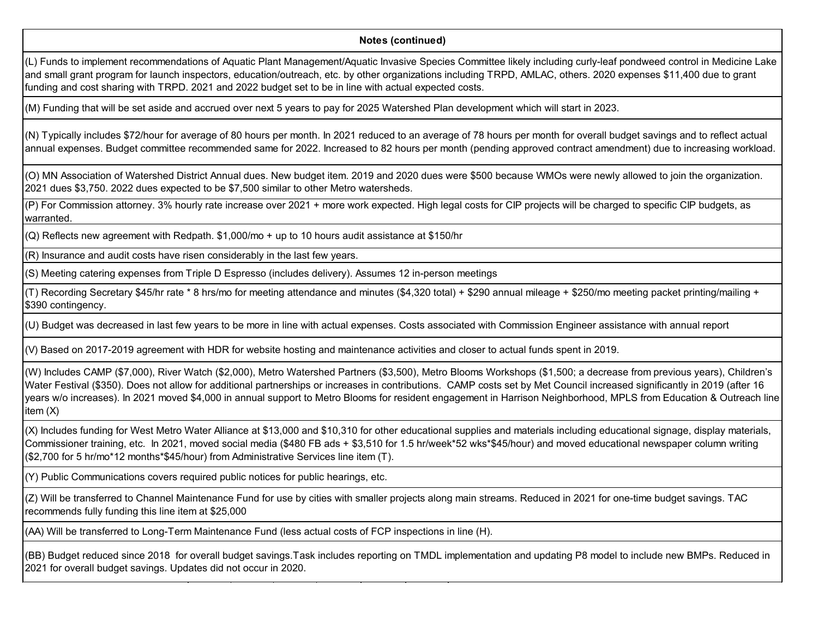## **Notes (continued)**

(L) Funds to implement recommendations of Aquatic Plant Management/Aquatic Invasive Species Committee likely including curly-leaf pondweed control in Medicine Lake and small grant program for launch inspectors, education/outreach, etc. by other organizations including TRPD, AMLAC, others. 2020 expenses \$11,400 due to grant funding and cost sharing with TRPD. 2021 and 2022 budget set to be in line with actual expected costs.

(M) Funding that will be set aside and accrued over next 5 years to pay for 2025 Watershed Plan development which will start in 2023.

(N) Typically includes \$72/hour for average of 80 hours per month. In 2021 reduced to an average of 78 hours per month for overall budget savings and to reflect actual annual expenses. Budget committee recommended same for 2022. Increased to 82 hours per month (pending approved contract amendment) due to increasing workload.

(O) MN Association of Watershed District Annual dues. New budget item. 2019 and 2020 dues were \$500 because WMOs were newly allowed to join the organization. 2021 dues \$3,750. 2022 dues expected to be \$7,500 similar to other Metro watersheds.

(P) For Commission attorney. 3% hourly rate increase over 2021 + more work expected. High legal costs for CIP projects will be charged to specific CIP budgets, as warranted.

(Q) Reflects new agreement with Redpath. \$1,000/mo + up to 10 hours audit assistance at \$150/hr

(R) Insurance and audit costs have risen considerably in the last few years.

(S) Meeting catering expenses from Triple D Espresso (includes delivery). Assumes 12 in-person meetings

(T) Recording Secretary \$45/hr rate \* 8 hrs/mo for meeting attendance and minutes (\$4,320 total) + \$290 annual mileage + \$250/mo meeting packet printing/mailing + \$390 contingency.

(U) Budget was decreased in last few years to be more in line with actual expenses. Costs associated with Commission Engineer assistance with annual report

(V) Based on 2017-2019 agreement with HDR for website hosting and maintenance activities and closer to actual funds spent in 2019.

(W) Includes CAMP (\$7,000), River Watch (\$2,000), Metro Watershed Partners (\$3,500), Metro Blooms Workshops (\$1,500; a decrease from previous years), Children's Water Festival (\$350). Does not allow for additional partnerships or increases in contributions. CAMP costs set by Met Council increased significantly in 2019 (after 16 years w/o increases). In 2021 moved \$4,000 in annual support to Metro Blooms for resident engagement in Harrison Neighborhood, MPLS from Education & Outreach line item (X)

(X) Includes funding for West Metro Water Alliance at \$13,000 and \$10,310 for other educational supplies and materials including educational signage, display materials, Commissioner training, etc. In 2021, moved social media (\$480 FB ads + \$3,510 for 1.5 hr/week\*52 wks\*\$45/hour) and moved educational newspaper column writing (\$2,700 for 5 hr/mo\*12 months\*\$45/hour) from Administrative Services line item (T).

(Y) Public Communications covers required public notices for public hearings, etc.

(Z) Will be transferred to Channel Maintenance Fund for use by cities with smaller projects along main streams. Reduced in 2021 for one-time budget savings. TAC recommends fully funding this line item at \$25,000

(AA) Will be transferred to Long-Term Maintenance Fund (less actual costs of FCP inspections in line (H).

(BB) Budget reduced since 2018 for overall budget savings.Task includes reporting on TMDL implementation and updating P8 model to include new BMPs. Reduced in 2021 for overall budget savings. Updates did not occur in 2020.